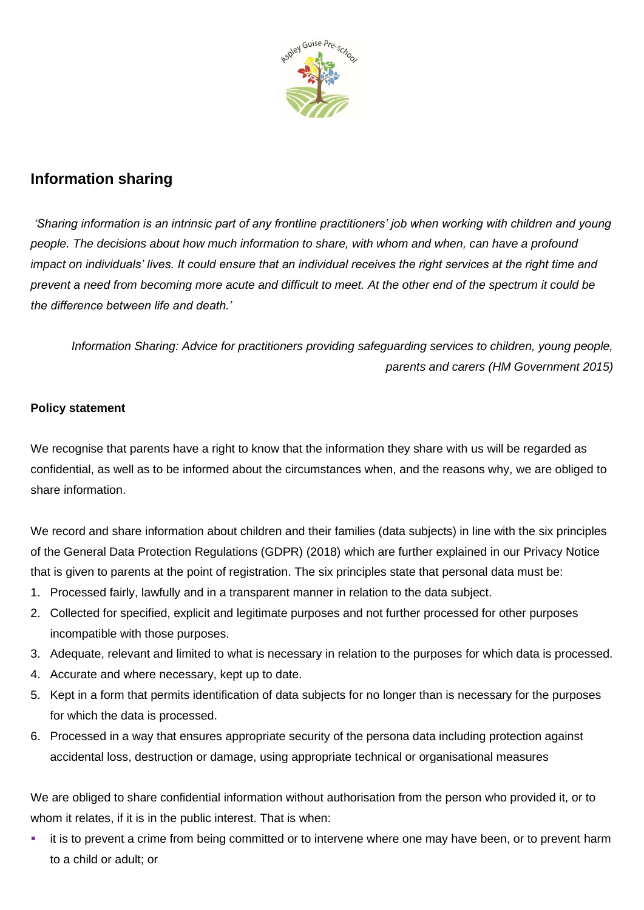

# **Information sharing**

*'Sharing information is an intrinsic part of any frontline practitioners' job when working with children and young people. The decisions about how much information to share, with whom and when, can have a profound impact on individuals' lives. It could ensure that an individual receives the right services at the right time and prevent a need from becoming more acute and difficult to meet. At the other end of the spectrum it could be the difference between life and death.'*

*Information Sharing: Advice for practitioners providing safeguarding services to children, young people, parents and carers (HM Government 2015)*

#### **Policy statement**

We recognise that parents have a right to know that the information they share with us will be regarded as confidential, as well as to be informed about the circumstances when, and the reasons why, we are obliged to share information.

We record and share information about children and their families (data subjects) in line with the six principles of the General Data Protection Regulations (GDPR) (2018) which are further explained in our Privacy Notice that is given to parents at the point of registration. The six principles state that personal data must be:

- 1. Processed fairly, lawfully and in a transparent manner in relation to the data subject.
- 2. Collected for specified, explicit and legitimate purposes and not further processed for other purposes incompatible with those purposes.
- 3. Adequate, relevant and limited to what is necessary in relation to the purposes for which data is processed.
- 4. Accurate and where necessary, kept up to date.
- 5. Kept in a form that permits identification of data subjects for no longer than is necessary for the purposes for which the data is processed.
- 6. Processed in a way that ensures appropriate security of the persona data including protection against accidental loss, destruction or damage, using appropriate technical or organisational measures

We are obliged to share confidential information without authorisation from the person who provided it, or to whom it relates, if it is in the public interest. That is when:

it is to prevent a crime from being committed or to intervene where one may have been, or to prevent harm to a child or adult; or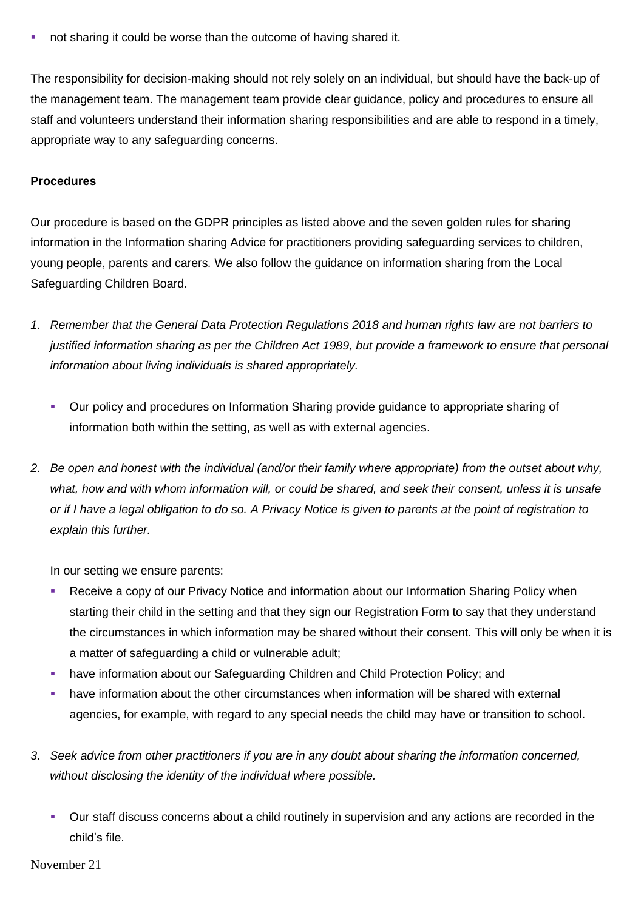not sharing it could be worse than the outcome of having shared it.

The responsibility for decision-making should not rely solely on an individual, but should have the back-up of the management team. The management team provide clear guidance, policy and procedures to ensure all staff and volunteers understand their information sharing responsibilities and are able to respond in a timely, appropriate way to any safeguarding concerns.

#### **Procedures**

Our procedure is based on the GDPR principles as listed above and the seven golden rules for sharing information in the Information sharing Advice for practitioners providing safeguarding services to children, young people, parents and carers*.* We also follow the guidance on information sharing from the Local Safeguarding Children Board.

- *1. Remember that the General Data Protection Regulations 2018 and human rights law are not barriers to justified information sharing as per the Children Act 1989, but provide a framework to ensure that personal information about living individuals is shared appropriately.*
	- Our policy and procedures on Information Sharing provide guidance to appropriate sharing of information both within the setting, as well as with external agencies.
- *2. Be open and honest with the individual (and/or their family where appropriate) from the outset about why, what, how and with whom information will, or could be shared, and seek their consent, unless it is unsafe or if I have a legal obligation to do so. A Privacy Notice is given to parents at the point of registration to explain this further.*

In our setting we ensure parents:

- Receive a copy of our Privacy Notice and information about our Information Sharing Policy when starting their child in the setting and that they sign our Registration Form to say that they understand the circumstances in which information may be shared without their consent. This will only be when it is a matter of safeguarding a child or vulnerable adult;
- have information about our Safeguarding Children and Child Protection Policy; and
- have information about the other circumstances when information will be shared with external agencies, for example, with regard to any special needs the child may have or transition to school.
- *3. Seek advice from other practitioners if you are in any doubt about sharing the information concerned, without disclosing the identity of the individual where possible.*
	- Our staff discuss concerns about a child routinely in supervision and any actions are recorded in the child's file.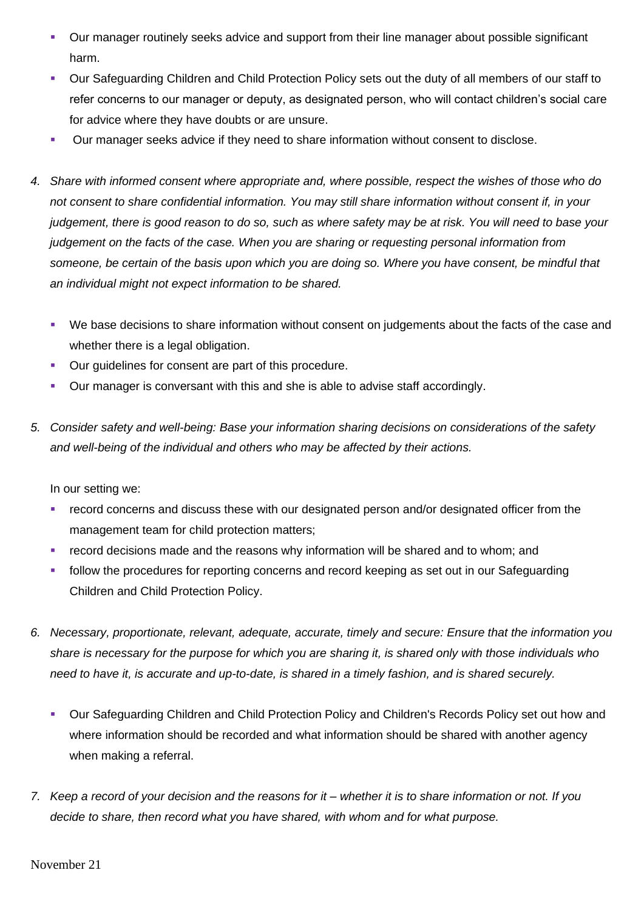- **•** Our manager routinely seeks advice and support from their line manager about possible significant harm.
- Our Safeguarding Children and Child Protection Policy sets out the duty of all members of our staff to refer concerns to our manager or deputy, as designated person, who will contact children's social care for advice where they have doubts or are unsure.
- Our manager seeks advice if they need to share information without consent to disclose.
- *4. Share with informed consent where appropriate and, where possible, respect the wishes of those who do not consent to share confidential information. You may still share information without consent if, in your judgement, there is good reason to do so, such as where safety may be at risk. You will need to base your judgement on the facts of the case. When you are sharing or requesting personal information from someone, be certain of the basis upon which you are doing so. Where you have consent, be mindful that an individual might not expect information to be shared.* 
	- We base decisions to share information without consent on judgements about the facts of the case and whether there is a legal obligation.
	- Our guidelines for consent are part of this procedure.
	- Our manager is conversant with this and she is able to advise staff accordingly.
- *5. Consider safety and well-being: Base your information sharing decisions on considerations of the safety and well-being of the individual and others who may be affected by their actions.*

In our setting we:

- **EXECTED** record concerns and discuss these with our designated person and/or designated officer from the management team for child protection matters;
- record decisions made and the reasons why information will be shared and to whom; and
- follow the procedures for reporting concerns and record keeping as set out in our Safeguarding Children and Child Protection Policy.
- *6. Necessary, proportionate, relevant, adequate, accurate, timely and secure: Ensure that the information you share is necessary for the purpose for which you are sharing it, is shared only with those individuals who need to have it, is accurate and up-to-date, is shared in a timely fashion, and is shared securely.*
	- Our Safeguarding Children and Child Protection Policy and Children's Records Policy set out how and where information should be recorded and what information should be shared with another agency when making a referral.
- *7. Keep a record of your decision and the reasons for it – whether it is to share information or not. If you decide to share, then record what you have shared, with whom and for what purpose.*

November 21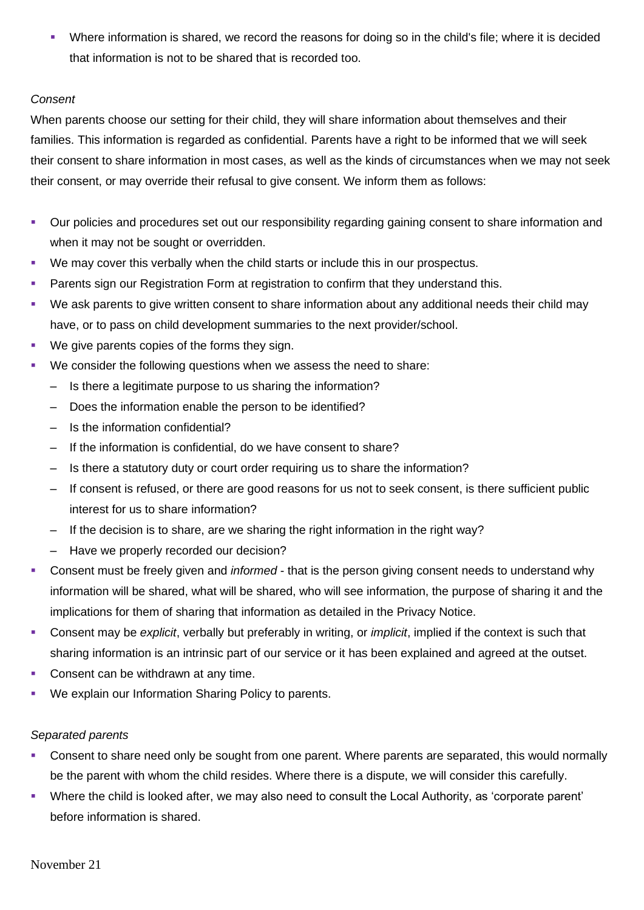Where information is shared, we record the reasons for doing so in the child's file; where it is decided that information is not to be shared that is recorded too.

#### *Consent*

When parents choose our setting for their child, they will share information about themselves and their families. This information is regarded as confidential. Parents have a right to be informed that we will seek their consent to share information in most cases, as well as the kinds of circumstances when we may not seek their consent, or may override their refusal to give consent. We inform them as follows:

- Our policies and procedures set out our responsibility regarding gaining consent to share information and when it may not be sought or overridden.
- We may cover this verbally when the child starts or include this in our prospectus.
- **Parents sign our Registration Form at registration to confirm that they understand this.**
- We ask parents to give written consent to share information about any additional needs their child may have, or to pass on child development summaries to the next provider/school.
- We give parents copies of the forms they sign.
- We consider the following questions when we assess the need to share:
	- Is there a legitimate purpose to us sharing the information?
	- Does the information enable the person to be identified?
	- Is the information confidential?
	- If the information is confidential, do we have consent to share?
	- Is there a statutory duty or court order requiring us to share the information?
	- If consent is refused, or there are good reasons for us not to seek consent, is there sufficient public interest for us to share information?
	- If the decision is to share, are we sharing the right information in the right way?
	- Have we properly recorded our decision?
- Consent must be freely given and *informed* that is the person giving consent needs to understand why information will be shared, what will be shared, who will see information, the purpose of sharing it and the implications for them of sharing that information as detailed in the Privacy Notice.
- Consent may be *explicit*, verbally but preferably in writing, or *implicit*, implied if the context is such that sharing information is an intrinsic part of our service or it has been explained and agreed at the outset.
- Consent can be withdrawn at any time.
- We explain our Information Sharing Policy to parents.

### *Separated parents*

- Consent to share need only be sought from one parent. Where parents are separated, this would normally be the parent with whom the child resides. Where there is a dispute, we will consider this carefully.
- Where the child is looked after, we may also need to consult the Local Authority, as 'corporate parent' before information is shared.